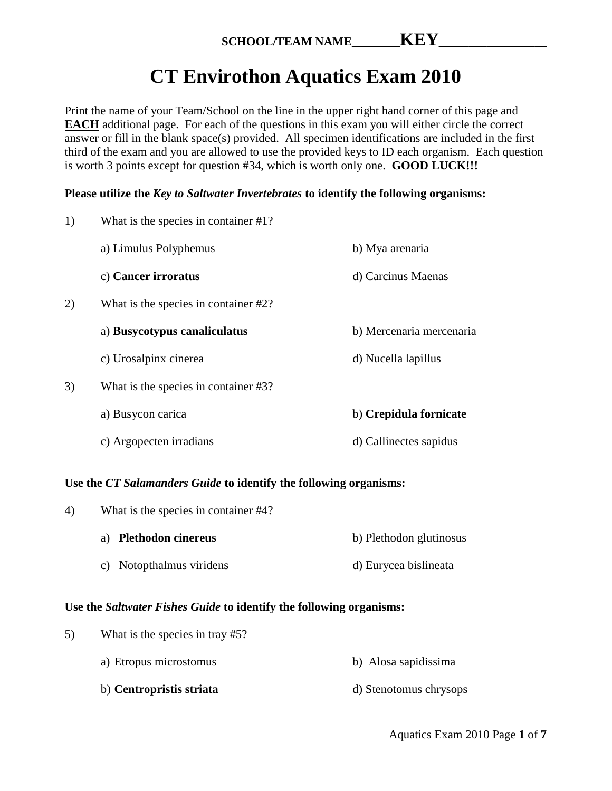# **CT Envirothon Aquatics Exam 2010**

Print the name of your Team/School on the line in the upper right hand corner of this page and **EACH** additional page. For each of the questions in this exam you will either circle the correct answer or fill in the blank space(s) provided. All specimen identifications are included in the first third of the exam and you are allowed to use the provided keys to ID each organism. Each question is worth 3 points except for question #34, which is worth only one. **GOOD LUCK!!!**

# **Please utilize the** *Key to Saltwater Invertebrates* **to identify the following organisms:**

| 1) | What is the species in container #1?    |                          |
|----|-----------------------------------------|--------------------------|
|    | a) Limulus Polyphemus                   | b) Mya arenaria          |
|    | c) Cancer irroratus                     | d) Carcinus Maenas       |
| 2) | What is the species in container $#2$ ? |                          |
|    | a) Busycotypus canaliculatus            | b) Mercenaria mercenaria |
|    | c) Urosalpinx cinerea                   | d) Nucella lapillus      |
| 3) | What is the species in container #3?    |                          |
|    | a) Busycon carica                       | b) Crepidula fornicate   |
|    | c) Argopecten irradians                 | d) Callinectes sapidus   |

# **Use the** *CT Salamanders Guide* **to identify the following organisms:**

| 4) | What is the species in container #4? |                         |
|----|--------------------------------------|-------------------------|
|    | a) Plethodon cinereus                | b) Plethodon glutinosus |
|    | c) Notopthalmus viridens             | d) Eurycea bislineata   |

# **Use the** *Saltwater Fishes Guide* **to identify the following organisms:**

| 5) | What is the species in tray #5? |                        |
|----|---------------------------------|------------------------|
|    | a) Etropus microstomus          | b) Alosa sapidissima   |
|    | b) Centropristis striata        | d) Stenotomus chrysops |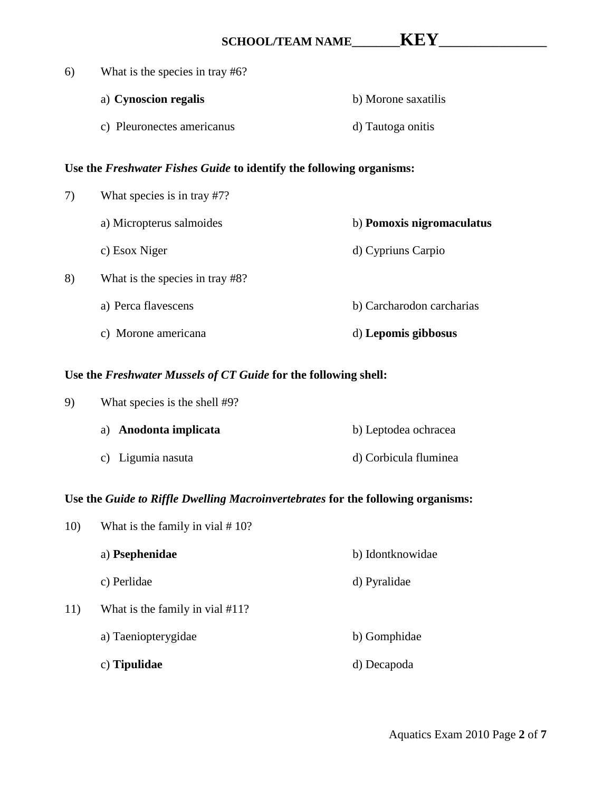| 6) | What is the species in tray #6?                                      |                           |
|----|----------------------------------------------------------------------|---------------------------|
|    | a) Cynoscion regalis                                                 | b) Morone saxatilis       |
|    | c) Pleuronectes americanus                                           | d) Tautoga onitis         |
|    | Use the Freshwater Fishes Guide to identify the following organisms: |                           |
| 7) | What species is in tray #7?                                          |                           |
|    | a) Micropterus salmoides                                             | b) Pomoxis nigromaculatus |
|    | c) Esox Niger                                                        | d) Cypriuns Carpio        |
| 8) | What is the species in tray #8?                                      |                           |
|    | a) Perca flavescens                                                  | b) Carcharodon carcharias |
|    | c) Morone americana                                                  | d) Lepomis gibbosus       |

# **Use the** *Freshwater Mussels of CT Guide* **for the following shell:**

| 9) | What species is the shell #9? |                       |
|----|-------------------------------|-----------------------|
|    | a) Anodonta implicata         | b) Leptodea ochracea  |
|    | c) Ligumia nasuta             | d) Corbicula fluminea |

# **Use the** *Guide to Riffle Dwelling Macroinvertebrates* **for the following organisms:**

| 10) | What is the family in vial $# 10$ ? |                  |
|-----|-------------------------------------|------------------|
|     | a) Psephenidae                      | b) Idontknowidae |
|     | c) Perlidae                         | d) Pyralidae     |
| 11) | What is the family in vial #11?     |                  |
|     | a) Taeniopterygidae                 | b) Gomphidae     |
|     | c) Tipulidae                        | d) Decapoda      |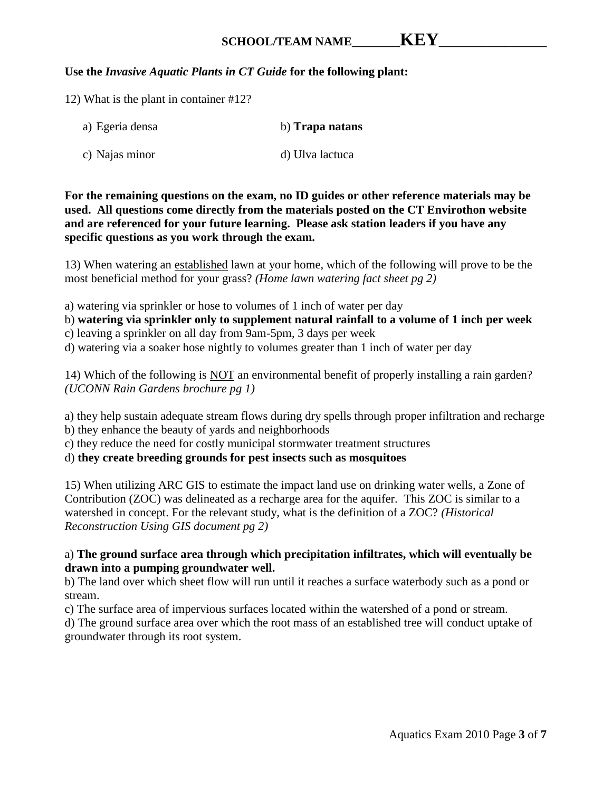# SCHOOL/TEAM NAME **WEY**

# **Use the** *Invasive Aquatic Plants in CT Guide* **for the following plant:**

12) What is the plant in container #12?

| a) Egeria densa | b) Trapa natans |
|-----------------|-----------------|
| c) Najas minor  | d) Ulva lactuca |

**For the remaining questions on the exam, no ID guides or other reference materials may be used. All questions come directly from the materials posted on the CT Envirothon website and are referenced for your future learning. Please ask station leaders if you have any specific questions as you work through the exam.**

13) When watering an established lawn at your home, which of the following will prove to be the most beneficial method for your grass? *(Home lawn watering fact sheet pg 2)*

a) watering via sprinkler or hose to volumes of 1 inch of water per day

b) **watering via sprinkler only to supplement natural rainfall to a volume of 1 inch per week**

c) leaving a sprinkler on all day from 9am-5pm, 3 days per week

d) watering via a soaker hose nightly to volumes greater than 1 inch of water per day

14) Which of the following is NOT an environmental benefit of properly installing a rain garden? *(UCONN Rain Gardens brochure pg 1)*

a) they help sustain adequate stream flows during dry spells through proper infiltration and recharge b) they enhance the beauty of yards and neighborhoods

c) they reduce the need for costly municipal stormwater treatment structures

d) **they create breeding grounds for pest insects such as mosquitoes**

15) When utilizing ARC GIS to estimate the impact land use on drinking water wells, a Zone of Contribution (ZOC) was delineated as a recharge area for the aquifer. This ZOC is similar to a watershed in concept. For the relevant study, what is the definition of a ZOC? *(Historical Reconstruction Using GIS document pg 2)*

# a) **The ground surface area through which precipitation infiltrates, which will eventually be drawn into a pumping groundwater well.**

b) The land over which sheet flow will run until it reaches a surface waterbody such as a pond or stream.

c) The surface area of impervious surfaces located within the watershed of a pond or stream.

d) The ground surface area over which the root mass of an established tree will conduct uptake of groundwater through its root system.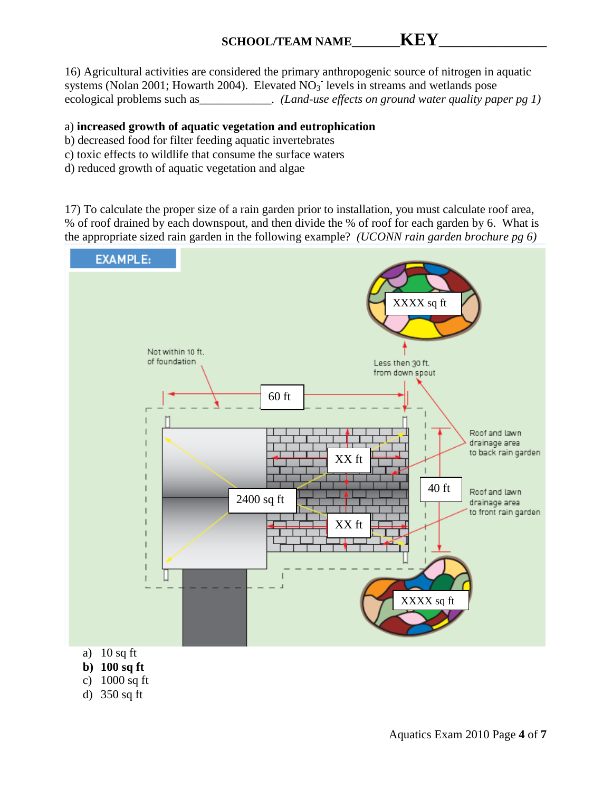# SCHOOL/TEAM NAME **WEY**

16) Agricultural activities are considered the primary anthropogenic source of nitrogen in aquatic systems (Nolan 2001; Howarth 2004). Elevated  $NO<sub>3</sub>$  levels in streams and wetlands pose ecological problems such as \_\_\_\_\_\_\_\_\_\_\_\_. *(Land-use effects on ground water quality paper pg 1)* 

### a) **increased growth of aquatic vegetation and eutrophication**

- b) decreased food for filter feeding aquatic invertebrates
- c) toxic effects to wildlife that consume the surface waters
- d) reduced growth of aquatic vegetation and algae

17) To calculate the proper size of a rain garden prior to installation, you must calculate roof area, % of roof drained by each downspout, and then divide the % of roof for each garden by 6. What is the appropriate sized rain garden in the following example? *(UCONN rain garden brochure pg 6)*



- 
- **b) 100 sq ft**
- c) 1000 sq ft
- d) 350 sq ft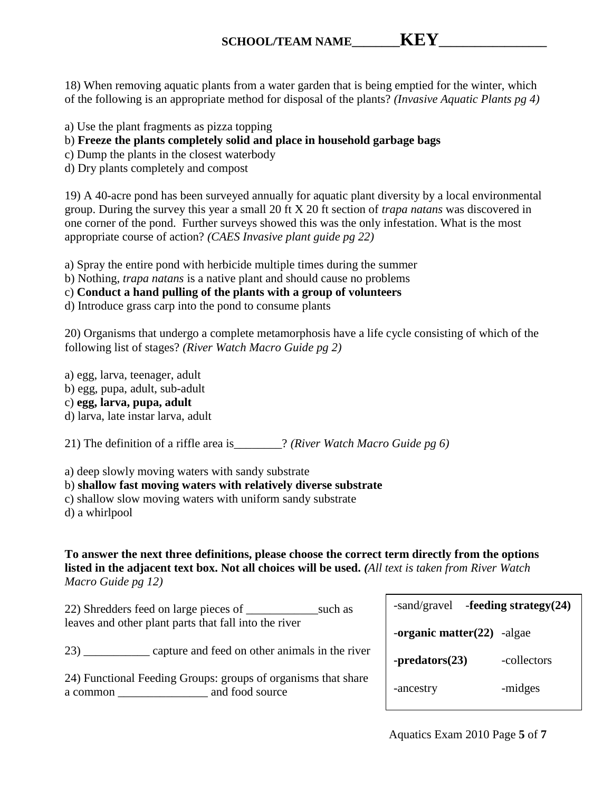18) When removing aquatic plants from a water garden that is being emptied for the winter, which of the following is an appropriate method for disposal of the plants? *(Invasive Aquatic Plants pg 4)*

a) Use the plant fragments as pizza topping

b) **Freeze the plants completely solid and place in household garbage bags**

c) Dump the plants in the closest waterbody

d) Dry plants completely and compost

19) A 40-acre pond has been surveyed annually for aquatic plant diversity by a local environmental group. During the survey this year a small 20 ft X 20 ft section of *trapa natans* was discovered in one corner of the pond. Further surveys showed this was the only infestation. What is the most appropriate course of action? *(CAES Invasive plant guide pg 22)*

a) Spray the entire pond with herbicide multiple times during the summer

b) Nothing, *trapa natans* is a native plant and should cause no problems

c) **Conduct a hand pulling of the plants with a group of volunteers**

d) Introduce grass carp into the pond to consume plants

20) Organisms that undergo a complete metamorphosis have a life cycle consisting of which of the following list of stages? *(River Watch Macro Guide pg 2)*

a) egg, larva, teenager, adult

b) egg, pupa, adult, sub-adult

c) **egg, larva, pupa, adult**

d) larva, late instar larva, adult

21) The definition of a riffle area is\_\_\_\_\_\_\_\_? *(River Watch Macro Guide pg 6)*

a) deep slowly moving waters with sandy substrate

b) **shallow fast moving waters with relatively diverse substrate**

c) shallow slow moving waters with uniform sandy substrate

d) a whirlpool

**To answer the next three definitions, please choose the correct term directly from the options listed in the adjacent text box. Not all choices will be used.** *(All text is taken from River Watch Macro Guide pg 12)*

| 22) Shredders feed on large pieces of                 | such as |
|-------------------------------------------------------|---------|
| leaves and other plant parts that fall into the river |         |

23) \_\_\_\_\_\_\_\_\_\_\_ capture and feed on other animals in the river

24) Functional Feeding Groups: groups of organisms that share a common \_\_\_\_\_\_\_\_\_\_\_\_\_\_\_ and food source

| $-sand/gravel$ -feeding strategy $(24)$ |             |  |
|-----------------------------------------|-------------|--|
| -organic matter $(22)$ -algae           |             |  |
| -predators(23)                          | -collectors |  |
| -ancestry                               | -midges     |  |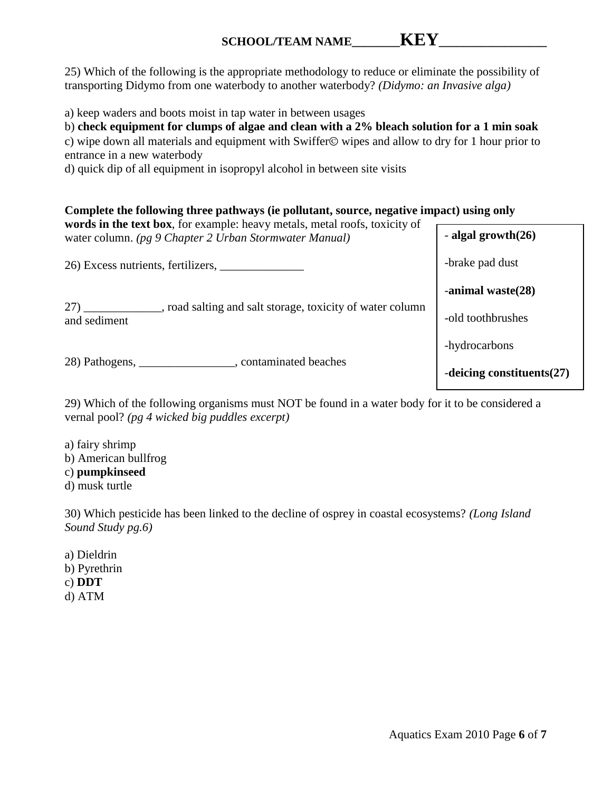25) Which of the following is the appropriate methodology to reduce or eliminate the possibility of transporting Didymo from one waterbody to another waterbody? *(Didymo: an Invasive alga)*

a) keep waders and boots moist in tap water in between usages

b) **check equipment for clumps of algae and clean with a 2% bleach solution for a 1 min soak**

c) wipe down all materials and equipment with Swiffer  $\odot$  wipes and allow to dry for 1 hour prior to entrance in a new waterbody

d) quick dip of all equipment in isopropyl alcohol in between site visits

# **Complete the following three pathways (ie pollutant, source, negative impact) using only**

| words in the text box, for example: heavy metals, metal roofs, toxicity of<br>water column. (pg 9 Chapter 2 Urban Stormwater Manual) | - algal growth $(26)$        |
|--------------------------------------------------------------------------------------------------------------------------------------|------------------------------|
| 26) Excess nutrients, fertilizers,                                                                                                   | -brake pad dust              |
|                                                                                                                                      | -animal waste $(28)$         |
| 27)<br>, road salting and salt storage, toxicity of water column<br>and sediment                                                     | -old toothbrushes            |
|                                                                                                                                      | -hydrocarbons                |
| , contaminated beaches<br>28) Pathogens,                                                                                             | -deicing constituents $(27)$ |

29) Which of the following organisms must NOT be found in a water body for it to be considered a vernal pool? *(pg 4 wicked big puddles excerpt)*

a) fairy shrimp b) American bullfrog c) **pumpkinseed** d) musk turtle

30) Which pesticide has been linked to the decline of osprey in coastal ecosystems? *(Long Island Sound Study pg.6)*

a) Dieldrin b) Pyrethrin c) **DDT** d) ATM

Aquatics Exam 2010 Page **6** of **7**